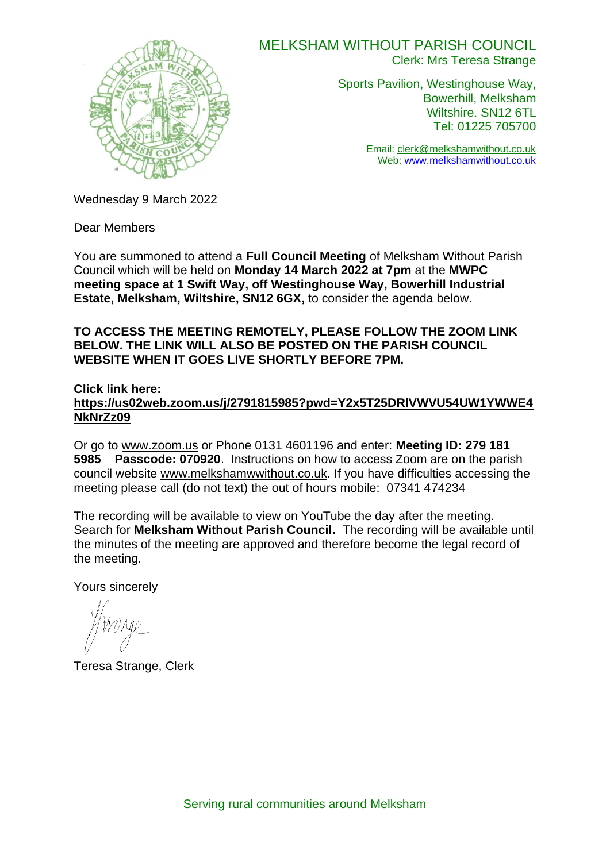

## MELKSHAM WITHOUT PARISH COUNCIL

Clerk: Mrs Teresa Strange

Sports Pavilion, Westinghouse Way, Bowerhill, Melksham Wiltshire. SN12 6TL Tel: 01225 705700

> Email: [clerk@melkshamwithout.co.uk](mailto:clerk@melkshamwithout.co.uk) Web: [www.melkshamwithout.co.uk](http://www.melkshamwithout.co.uk/)

Wednesday 9 March 2022

Dear Members

You are summoned to attend a **Full Council Meeting** of Melksham Without Parish Council which will be held on **Monday 14 March 2022 at 7pm** at the **MWPC meeting space at 1 Swift Way, off Westinghouse Way, Bowerhill Industrial Estate, Melksham, Wiltshire, SN12 6GX,** to consider the agenda below.

#### **TO ACCESS THE MEETING REMOTELY, PLEASE FOLLOW THE ZOOM LINK BELOW. THE LINK WILL ALSO BE POSTED ON THE PARISH COUNCIL WEBSITE WHEN IT GOES LIVE SHORTLY BEFORE 7PM.**

**Click link here:**

**[https://us02web.zoom.us/j/2791815985?pwd=Y2x5T25DRlVWVU54UW1YWWE4](https://us02web.zoom.us/j/2791815985?pwd=Y2x5T25DRlVWVU54UW1YWWE4NkNrZz09) [NkNrZz09](https://us02web.zoom.us/j/2791815985?pwd=Y2x5T25DRlVWVU54UW1YWWE4NkNrZz09)**

Or go to [www.zoom.us](http://www.zoom.us/) or Phone 0131 4601196 and enter: **Meeting ID: 279 181 5985 Passcode: 070920**. Instructions on how to access Zoom are on the parish council website [www.melkshamwwithout.co.uk.](http://www.melkshamwwithout.co.uk/) If you have difficulties accessing the meeting please call (do not text) the out of hours mobile: 07341 474234

The recording will be available to view on YouTube the day after the meeting. Search for **Melksham Without Parish Council.** The recording will be available until the minutes of the meeting are approved and therefore become the legal record of the meeting.

Yours sincerely

Teresa Strange, Clerk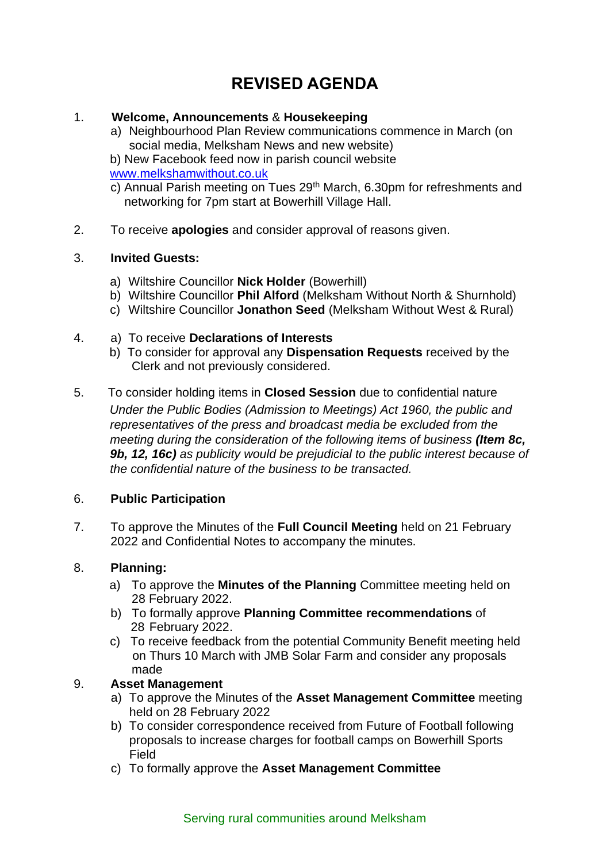# **REVISED AGENDA**

### 1. **Welcome, Announcements** & **Housekeeping**

a) Neighbourhood Plan Review communications commence in March (on social media, Melksham News and new website)

b) New Facebook feed now in parish council website [www.melkshamwithout.co.uk](http://www.melkshamwithout.co.uk/)

- c) Annual Parish meeting on Tues 29<sup>th</sup> March, 6.30pm for refreshments and networking for 7pm start at Bowerhill Village Hall.
- 2. To receive **apologies** and consider approval of reasons given.

#### 3. **Invited Guests:**

- a) Wiltshire Councillor **Nick Holder** (Bowerhill)
- b) Wiltshire Councillor **Phil Alford** (Melksham Without North & Shurnhold)
- c) Wiltshire Councillor **Jonathon Seed** (Melksham Without West & Rural)

#### 4. a) To receive **Declarations of Interests**

- b) To consider for approval any **Dispensation Requests** received by the Clerk and not previously considered.
- 5. To consider holding items in **Closed Session** due to confidential nature  *Under the Public Bodies (Admission to Meetings) Act 1960, the public and representatives of the press and broadcast media be excluded from the meeting during the consideration of the following items of business (Item 8c, 9b, 12, 16c) as publicity would be prejudicial to the public interest because of the confidential nature of the business to be transacted.*

## 6. **Public Participation**

7. To approve the Minutes of the **Full Council Meeting** held on 21 February 2022 and Confidential Notes to accompany the minutes.

#### 8. **Planning:**

- a) To approve the **Minutes of the Planning** Committee meeting held on 28 February 2022.
- b) To formally approve **Planning Committee recommendations** of 28 February 2022.
- c) To receive feedback from the potential Community Benefit meeting held on Thurs 10 March with JMB Solar Farm and consider any proposals made

## 9. **Asset Management**

- a) To approve the Minutes of the **Asset Management Committee** meeting held on 28 February 2022
- b) To consider correspondence received from Future of Football following proposals to increase charges for football camps on Bowerhill Sports Field
- c) To formally approve the **Asset Management Committee**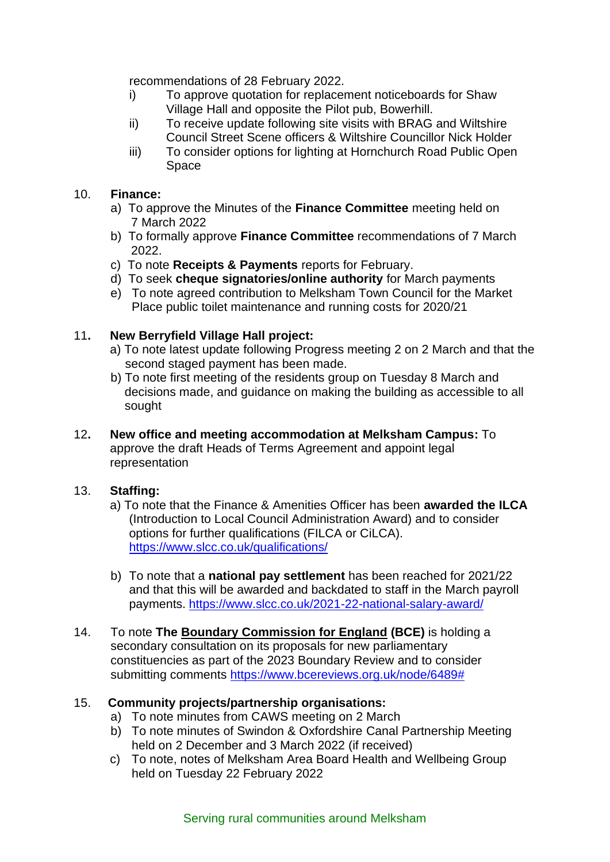recommendations of 28 February 2022.

- i) To approve quotation for replacement noticeboards for Shaw Village Hall and opposite the Pilot pub, Bowerhill.
- ii) To receive update following site visits with BRAG and Wiltshire Council Street Scene officers & Wiltshire Councillor Nick Holder
- iii) To consider options for lighting at Hornchurch Road Public Open Space

#### 10. **Finance:**

- a) To approve the Minutes of the **Finance Committee** meeting held on 7 March 2022
- b) To formally approve **Finance Committee** recommendations of 7 March 2022.
- c) To note **Receipts & Payments** reports for February.
- d) To seek **cheque signatories/online authority** for March payments
- e) To note agreed contribution to Melksham Town Council for the Market Place public toilet maintenance and running costs for 2020/21

## 11**. New Berryfield Village Hall project:**

- a) To note latest update following Progress meeting 2 on 2 March and that the second staged payment has been made.
- b) To note first meeting of the residents group on Tuesday 8 March and decisions made, and guidance on making the building as accessible to all sought
- 12**. New office and meeting accommodation at Melksham Campus:** To approve the draft Heads of Terms Agreement and appoint legal representation

## 13. **Staffing:**

- a) To note that the Finance & Amenities Officer has been **awarded the ILCA** (Introduction to Local Council Administration Award) and to consider options for further qualifications (FILCA or CiLCA). <https://www.slcc.co.uk/qualifications/>
- b) To note that a **national pay settlement** has been reached for 2021/22 and that this will be awarded and backdated to staff in the March payroll payments. <https://www.slcc.co.uk/2021-22-national-salary-award/>
- 14. To note **The [Boundary Commission for England](https://boundarycommissionforengland.independent.gov.uk/wp-content/uploads/2022/02/2022-02-15-Partner-pack_Secondary-consultation_Boundary-Commission-for-England.pdf) (BCE)** is holding a secondary consultation on its proposals for new parliamentary constituencies as part of the 2023 Boundary Review and to consider submitting comments [https://www.bcereviews.org.uk/node/6489#](https://www.bcereviews.org.uk/node/6489)

## 15. **Community projects/partnership organisations:**

- a) To note minutes from CAWS meeting on 2 March
- b) To note minutes of Swindon & Oxfordshire Canal Partnership Meeting held on 2 December and 3 March 2022 (if received)
- c) To note, notes of Melksham Area Board Health and Wellbeing Group held on Tuesday 22 February 2022